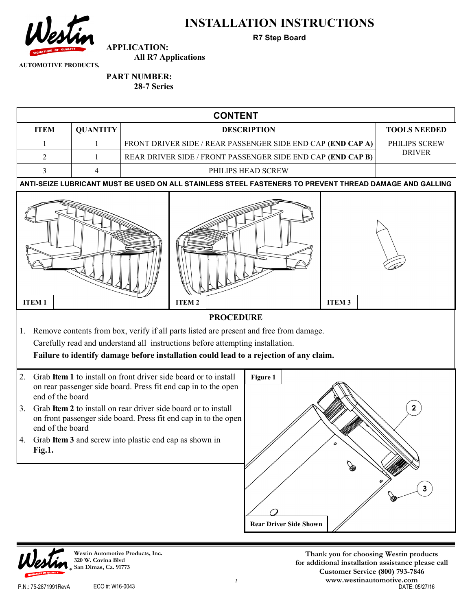

### **INSTALLATION INSTRUCTIONS**

**R7 Step Board**

**AUTOMOTIVE PRODUCTS,** 

## **PART NUMBER:**

**APPLICATION:** 

**28-7 Series**

**All R7 Applications**





**Westin Automotive Products, Inc. 320 W. Covina Blvd San Dimas, Ca. 91773**

**Thank you for choosing Westin products for additional installation assistance please call Customer Service (800) 793-7846 www.westinautomotive.com** P.N.: 75-2871991RevA ECO #: W16-0043 DATE: 05/27/16